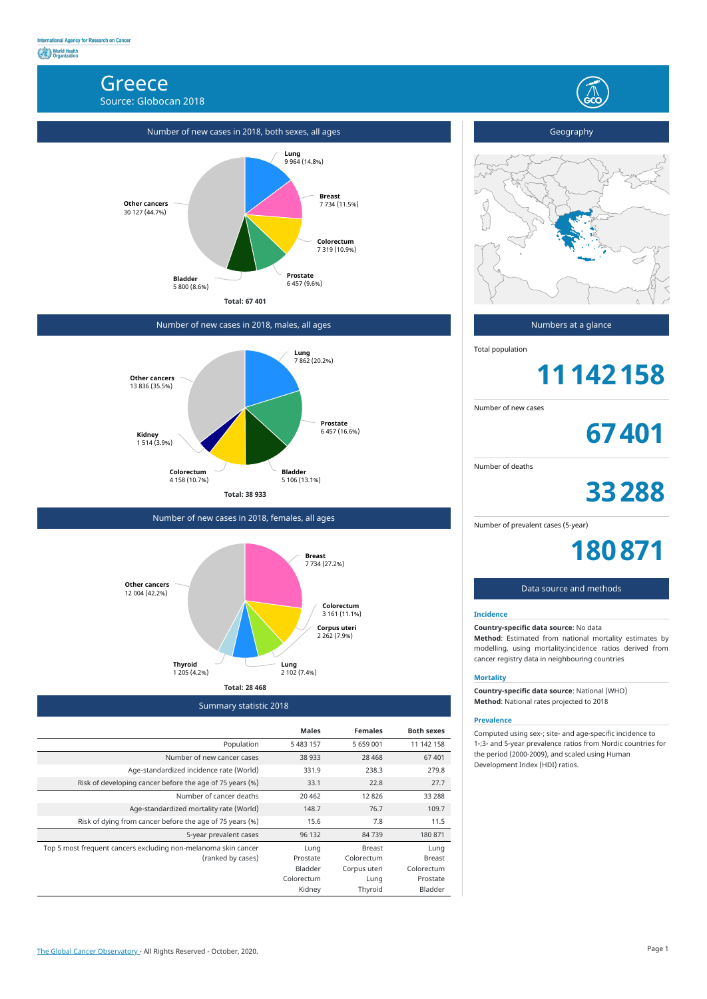## **Greece**

Source: Globocan 2018

Summary statistic 2018



|                                                                | <b>Males</b>   | <b>Females</b> | <b>Both sexes</b> |
|----------------------------------------------------------------|----------------|----------------|-------------------|
| Population                                                     | 5 483 157      | 5 659 001      | 11 142 158        |
| Number of new cancer cases                                     | 38 933         | 28 4 6 8       | 67401             |
| Age-standardized incidence rate (World)                        | 331.9          | 238.3          | 279.8             |
| Risk of developing cancer before the age of 75 years (%)       | 33.1           | 22.8           | 27.7              |
| Number of cancer deaths                                        | 20 4 62        | 12826          | 33 2 88           |
| Age-standardized mortality rate (World)                        | 148.7          | 76.7           | 109.7             |
| Risk of dying from cancer before the age of 75 years (%)       | 15.6           | 7.8            | 11.5              |
| 5-year prevalent cases                                         | 96 132         | 84739          | 180 871           |
| Top 5 most frequent cancers excluding non-melanoma skin cancer | Lung           | <b>Breast</b>  | Lung              |
| (ranked by cases)                                              | Prostate       | Colorectum     | <b>Breast</b>     |
|                                                                | <b>Bladder</b> | Corpus uteri   | Colorectum        |
|                                                                | Colorectum     | Lung           | Prostate          |
|                                                                | Kidney         | Thyroid        | Bladder           |

# Geography  $\sim$



Number of new cases in 2018, males, all ages



Number of new cases in 2018, females, all ages



Numbers at a glance

Total population

**11142158**

Number of new cases

**67401**

Number of deaths

**33288**

Number of prevalent cases (5-year)

**180871**

### Data source and methods

#### **Incidence**

**Country-specific data source**: No data **Method**: Estimated from national mortality estimates by modelling, using mortality:incidence ratios derived from cancer registry data in neighbouring countries

#### **Mortality**

**Country-specific data source**: National (WHO) **Method**: National rates projected to 2018

#### **Prevalence**

Computed using sex-; site- and age-specific incidence to 1-;3- and 5-year prevalence ratios from Nordic countries for the period (2000-2009), and scaled using Human Development Index (HDI) ratios.